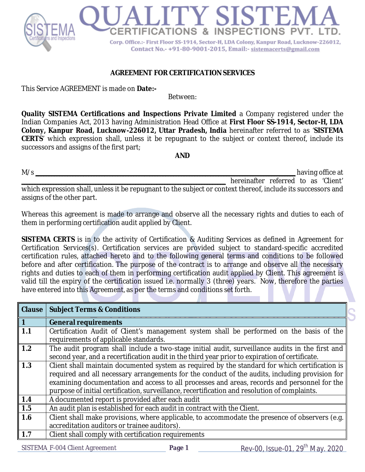

## **AGREEMENT FOR CERTIFICATION SERVICES**

This Service AGREEMENT is made on **Date:-**

Between:

**Quality SISTEMA Certifications and Inspections Private Limited** a Company registered under the Indian Companies Act, 2013 having Administration Head Office at **First Floor SS-1914, Sector-H, LDA Colony, Kanpur Road, Lucknow-226012, Uttar Pradesh, India** hereinafter referred to as '**SISTEMA CERTS**' which expression shall, unless it be repugnant to the subject or context thereof, include its successors and assigns of the first part;

**AND**

| M/s<br>having office at                                                                                      |  |
|--------------------------------------------------------------------------------------------------------------|--|
| hereinafter referred to as 'Client'                                                                          |  |
| which expression shall, unless it be repugnant to the subject or context thereof, include its successors and |  |
| assigns of the other part.                                                                                   |  |

Whereas this agreement is made to arrange and observe all the necessary rights and duties to each of them in performing certification audit applied by Client.

**SISTEMA CERTS** is in to the activity of Certification & Auditing Services as defined in Agreement for Certification Services(s). Certification services are provided subject to standard-specific accredited certification rules, attached hereto and to the following general terms and conditions to be followed before and after certification. The purpose of the contract is to arrange and observe all the necessary rights and duties to each of them in performing certification audit applied by Client. This agreement is valid till the expiry of the certification issued i.e. normally 3 (three) years. Now, therefore the parties have entered into this Agreement, as per the terms and conditions set forth.

| <b>Clause</b> | <b>Subject Terms &amp; Conditions</b>                                                                                                                                                                                                                                                                                                                                                             |
|---------------|---------------------------------------------------------------------------------------------------------------------------------------------------------------------------------------------------------------------------------------------------------------------------------------------------------------------------------------------------------------------------------------------------|
| $\bullet$     | <b>General requirements</b>                                                                                                                                                                                                                                                                                                                                                                       |
| 1.1           | Certification Audit of Client's management system shall be performed on the basis of the<br>requirements of applicable standards.                                                                                                                                                                                                                                                                 |
| 1.2           | The audit program shall include a two-stage initial audit, surveillance audits in the first and<br>second year, and a recertification audit in the third year prior to expiration of certificate.                                                                                                                                                                                                 |
| 1.3           | Client shall maintain documented system as required by the standard for which certification is<br>required and all necessary arrangements for the conduct of the audits, including provision for<br>examining documentation and access to all processes and areas, records and personnel for the<br>purpose of initial certification, surveillance, recertification and resolution of complaints. |
| 1.4           | A documented report is provided after each audit                                                                                                                                                                                                                                                                                                                                                  |
| 1.5           | An audit plan is established for each audit in contract with the Client.                                                                                                                                                                                                                                                                                                                          |
| 1.6           | Client shall make provisions, where applicable, to accommodate the presence of observers (e.g.<br>accreditation auditors or trainee auditors).                                                                                                                                                                                                                                                    |
| 1.7           | Client shall comply with certification requirements                                                                                                                                                                                                                                                                                                                                               |
|               | $+1$                                                                                                                                                                                                                                                                                                                                                                                              |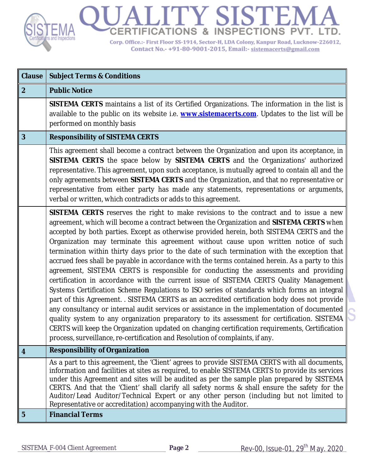

| <b>Clause</b>    | <b>Subject Terms &amp; Conditions</b>                                                                                                                                                                                                                                                                                                                                                                                                                                                                                                                                                                                                                                                                                                                                                                                                                                                                                                                                                                                                                                                                                                                                                                                                                                                                                                      |
|------------------|--------------------------------------------------------------------------------------------------------------------------------------------------------------------------------------------------------------------------------------------------------------------------------------------------------------------------------------------------------------------------------------------------------------------------------------------------------------------------------------------------------------------------------------------------------------------------------------------------------------------------------------------------------------------------------------------------------------------------------------------------------------------------------------------------------------------------------------------------------------------------------------------------------------------------------------------------------------------------------------------------------------------------------------------------------------------------------------------------------------------------------------------------------------------------------------------------------------------------------------------------------------------------------------------------------------------------------------------|
| $\overline{2}$   | <b>Public Notice</b>                                                                                                                                                                                                                                                                                                                                                                                                                                                                                                                                                                                                                                                                                                                                                                                                                                                                                                                                                                                                                                                                                                                                                                                                                                                                                                                       |
|                  | SISTEMA CERTS maintains a list of its Certified Organizations. The information in the list is<br>available to the public on its website i.e. <b>www.sistemacerts.com</b> . Updates to the list will be<br>performed on monthly basis                                                                                                                                                                                                                                                                                                                                                                                                                                                                                                                                                                                                                                                                                                                                                                                                                                                                                                                                                                                                                                                                                                       |
| $\overline{3}$   | <b>Responsibility of SISTEMA CERTS</b>                                                                                                                                                                                                                                                                                                                                                                                                                                                                                                                                                                                                                                                                                                                                                                                                                                                                                                                                                                                                                                                                                                                                                                                                                                                                                                     |
|                  | This agreement shall become a contract between the Organization and upon its acceptance, in<br>SISTEMA CERTS the space below by SISTEMA CERTS and the Organizations' authorized<br>representative. This agreement, upon such acceptance, is mutually agreed to contain all and the<br>only agreements between SISTEMA CERTS and the Organization, and that no representative or<br>representative from either party has made any statements, representations or arguments,<br>verbal or written, which contradicts or adds to this agreement.                                                                                                                                                                                                                                                                                                                                                                                                                                                                                                                                                                                                                                                                                                                                                                                              |
|                  | SISTEMA CERTS reserves the right to make revisions to the contract and to issue a new<br>agreement, which will become a contract between the Organization and SISTEMA CERTS when<br>accepted by both parties. Except as otherwise provided herein, both SISTEMA CERTS and the<br>Organization may terminate this agreement without cause upon written notice of such<br>termination within thirty days prior to the date of such termination with the exception that<br>accrued fees shall be payable in accordance with the terms contained herein. As a party to this<br>agreement, SISTEMA CERTS is responsible for conducting the assessments and providing<br>certification in accordance with the current issue of SISTEMA CERTS Quality Management<br>Systems Certification Scheme Regulations to ISO series of standards which forms an integral<br>part of this Agreement. . SISTEMA CERTS as an accredited certification body does not provide<br>any consultancy or internal audit services or assistance in the implementation of documented<br>quality system to any organization preparatory to its assessment for certification. SISTEMA<br>CERTS will keep the Organization updated on changing certification requirements, Certification<br>process, surveillance, re-certification and Resolution of complaints, if any. |
| $\boldsymbol{4}$ | <b>Responsibility of Organization</b>                                                                                                                                                                                                                                                                                                                                                                                                                                                                                                                                                                                                                                                                                                                                                                                                                                                                                                                                                                                                                                                                                                                                                                                                                                                                                                      |
|                  | As a part to this agreement, the 'Client' agrees to provide SISTEMA CERTS with all documents,<br>information and facilities at sites as required, to enable SISTEMA CERTS to provide its services<br>under this Agreement and sites will be audited as per the sample plan prepared by SISTEMA<br>CERTS. And that the 'Client' shall clarify all safety norms & shall ensure the safety for the<br>Auditor/Lead Auditor/Technical Expert or any other person (including but not limited to<br>Representative or accreditation) accompanying with the Auditor.                                                                                                                                                                                                                                                                                                                                                                                                                                                                                                                                                                                                                                                                                                                                                                              |
| 5                | <b>Financial Terms</b>                                                                                                                                                                                                                                                                                                                                                                                                                                                                                                                                                                                                                                                                                                                                                                                                                                                                                                                                                                                                                                                                                                                                                                                                                                                                                                                     |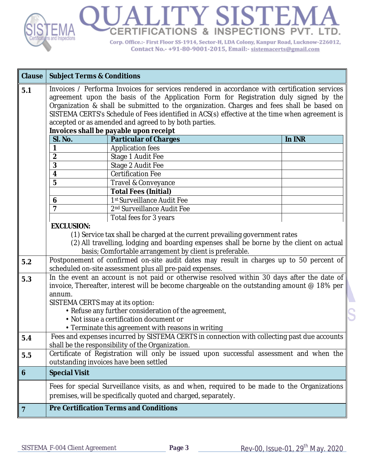

| <b>Clause</b>  | <b>Subject Terms &amp; Conditions</b>                                                                                                                                                                                                                                                                                                                                                                                                                                                 |                                                                                                                                                                                                                                    |        |
|----------------|---------------------------------------------------------------------------------------------------------------------------------------------------------------------------------------------------------------------------------------------------------------------------------------------------------------------------------------------------------------------------------------------------------------------------------------------------------------------------------------|------------------------------------------------------------------------------------------------------------------------------------------------------------------------------------------------------------------------------------|--------|
| 5.1            | Invoices / Performa Invoices for services rendered in accordance with certification services<br>agreement upon the basis of the Application Form for Registration duly signed by the<br>Organization & shall be submitted to the organization. Charges and fees shall be based on<br>SISTEMA CERTS's Schedule of Fees identified in ACS(s) effective at the time when agreement is<br>accepted or as amended and agreed to by both parties.<br>Invoices shall be payable upon receipt |                                                                                                                                                                                                                                    |        |
|                | SI. No.                                                                                                                                                                                                                                                                                                                                                                                                                                                                               | <b>Particular of Charges</b>                                                                                                                                                                                                       | In INR |
|                | 1                                                                                                                                                                                                                                                                                                                                                                                                                                                                                     | <b>Application fees</b>                                                                                                                                                                                                            |        |
|                | $\overline{2}$                                                                                                                                                                                                                                                                                                                                                                                                                                                                        | Stage 1 Audit Fee                                                                                                                                                                                                                  |        |
|                | 3                                                                                                                                                                                                                                                                                                                                                                                                                                                                                     | Stage 2 Audit Fee                                                                                                                                                                                                                  |        |
|                | $\overline{\mathbf{4}}$                                                                                                                                                                                                                                                                                                                                                                                                                                                               | <b>Certification Fee</b>                                                                                                                                                                                                           |        |
|                | 5                                                                                                                                                                                                                                                                                                                                                                                                                                                                                     | Travel & Conveyance                                                                                                                                                                                                                |        |
|                |                                                                                                                                                                                                                                                                                                                                                                                                                                                                                       | <b>Total Fees (Initial)</b>                                                                                                                                                                                                        |        |
|                | 6                                                                                                                                                                                                                                                                                                                                                                                                                                                                                     | 1st Surveillance Audit Fee                                                                                                                                                                                                         |        |
|                | $\overline{7}$                                                                                                                                                                                                                                                                                                                                                                                                                                                                        | 2 <sup>nd</sup> Surveillance Audit Fee                                                                                                                                                                                             |        |
|                |                                                                                                                                                                                                                                                                                                                                                                                                                                                                                       | Total fees for 3 years                                                                                                                                                                                                             |        |
|                | <b>EXCLUSION:</b>                                                                                                                                                                                                                                                                                                                                                                                                                                                                     |                                                                                                                                                                                                                                    |        |
|                |                                                                                                                                                                                                                                                                                                                                                                                                                                                                                       | (1) Service tax shall be charged at the current prevailing government rates<br>(2) All travelling, lodging and boarding expenses shall be borne by the client on actual<br>basis; Comfortable arrangement by client is preferable. |        |
| 5.2            |                                                                                                                                                                                                                                                                                                                                                                                                                                                                                       | Postponement of confirmed on-site audit dates may result in charges up to 50 percent of                                                                                                                                            |        |
|                |                                                                                                                                                                                                                                                                                                                                                                                                                                                                                       | scheduled on-site assessment plus all pre-paid expenses.                                                                                                                                                                           |        |
| 5.3            |                                                                                                                                                                                                                                                                                                                                                                                                                                                                                       | In the event an account is not paid or otherwise resolved within 30 days after the date of<br>invoice, Thereafter, interest will be become chargeable on the outstanding amount $@$ 18% per                                        |        |
|                | annum.                                                                                                                                                                                                                                                                                                                                                                                                                                                                                |                                                                                                                                                                                                                                    |        |
|                | SISTEMA CERTS may at its option:                                                                                                                                                                                                                                                                                                                                                                                                                                                      |                                                                                                                                                                                                                                    |        |
|                |                                                                                                                                                                                                                                                                                                                                                                                                                                                                                       | • Refuse any further consideration of the agreement,                                                                                                                                                                               |        |
|                |                                                                                                                                                                                                                                                                                                                                                                                                                                                                                       | • Not issue a certification document or                                                                                                                                                                                            |        |
|                |                                                                                                                                                                                                                                                                                                                                                                                                                                                                                       | • Terminate this agreement with reasons in writing                                                                                                                                                                                 |        |
| 5.4            |                                                                                                                                                                                                                                                                                                                                                                                                                                                                                       | Fees and expenses incurred by SISTEMA CERTS in connection with collecting past due accounts<br>shall be the responsibility of the Organization.                                                                                    |        |
| 5.5            |                                                                                                                                                                                                                                                                                                                                                                                                                                                                                       | Certificate of Registration will only be issued upon successful assessment and when the                                                                                                                                            |        |
|                |                                                                                                                                                                                                                                                                                                                                                                                                                                                                                       | outstanding invoices have been settled                                                                                                                                                                                             |        |
| 6              | <b>Special Visit</b>                                                                                                                                                                                                                                                                                                                                                                                                                                                                  |                                                                                                                                                                                                                                    |        |
|                |                                                                                                                                                                                                                                                                                                                                                                                                                                                                                       | Fees for special Surveillance visits, as and when, required to be made to the Organizations<br>premises, will be specifically quoted and charged, separately.                                                                      |        |
|                |                                                                                                                                                                                                                                                                                                                                                                                                                                                                                       |                                                                                                                                                                                                                                    |        |
| $\overline{7}$ |                                                                                                                                                                                                                                                                                                                                                                                                                                                                                       | <b>Pre Certification Terms and Conditions</b>                                                                                                                                                                                      |        |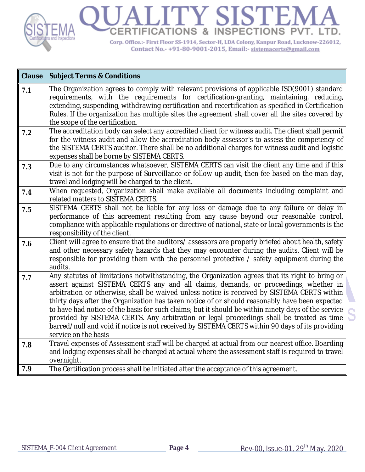

| <b>Clause</b> | <b>Subject Terms &amp; Conditions</b>                                                                                                                                                                                                                                                                                                                                                                                                                                                                                                                                                                                                                                                                                  |
|---------------|------------------------------------------------------------------------------------------------------------------------------------------------------------------------------------------------------------------------------------------------------------------------------------------------------------------------------------------------------------------------------------------------------------------------------------------------------------------------------------------------------------------------------------------------------------------------------------------------------------------------------------------------------------------------------------------------------------------------|
| 7.1           | The Organization agrees to comply with relevant provisions of applicable ISO(9001) standard<br>requirements, with the requirements for certification-granting, maintaining, reducing,<br>extending, suspending, withdrawing certification and recertification as specified in Certification<br>Rules. If the organization has multiple sites the agreement shall cover all the sites covered by<br>the scope of the certification.                                                                                                                                                                                                                                                                                     |
| 7.2           | The accreditation body can select any accredited client for witness audit. The client shall permit<br>for the witness audit and allow the accreditation body assessor's to assess the competency of<br>the SISTEMA CERTS auditor. There shall be no additional charges for witness audit and logistic<br>expenses shall be borne by SISTEMA CERTS.                                                                                                                                                                                                                                                                                                                                                                     |
| 7.3           | Due to any circumstances whatsoever, SISTEMA CERTS can visit the client any time and if this<br>visit is not for the purpose of Surveillance or follow-up audit, then fee based on the man-day,<br>travel and lodging will be charged to the client.                                                                                                                                                                                                                                                                                                                                                                                                                                                                   |
| 7.4           | When requested, Organization shall make available all documents including complaint and<br>related matters to SISTEMA CERTS.                                                                                                                                                                                                                                                                                                                                                                                                                                                                                                                                                                                           |
| 7.5           | SISTEMA CERTS shall not be liable for any loss or damage due to any failure or delay in<br>performance of this agreement resulting from any cause beyond our reasonable control,<br>compliance with applicable regulations or directive of national, state or local governments is the<br>responsibility of the client.                                                                                                                                                                                                                                                                                                                                                                                                |
| 7.6           | Client will agree to ensure that the auditors/assessors are properly briefed about health, safety<br>and other necessary safety hazards that they may encounter during the audits. Client will be<br>responsible for providing them with the personnel protective / safety equipment during the<br>audits.                                                                                                                                                                                                                                                                                                                                                                                                             |
| 7.7           | Any statutes of limitations notwithstanding, the Organization agrees that its right to bring or<br>assert against SISTEMA CERTS any and all claims, demands, or proceedings, whether in<br>arbitration or otherwise, shall be waived unless notice is received by SISTEMA CERTS within<br>thirty days after the Organization has taken notice of or should reasonably have been expected<br>to have had notice of the basis for such claims; but it should be within ninety days of the service<br>provided by SISTEMA CERTS. Any arbitration or legal proceedings shall be treated as time<br>barred/null and void if notice is not received by SISTEMA CERTS within 90 days of its providing<br>service on the basis |
| 7.8           | Travel expenses of Assessment staff will be charged at actual from our nearest office. Boarding<br>and lodging expenses shall be charged at actual where the assessment staff is required to travel<br>overnight.                                                                                                                                                                                                                                                                                                                                                                                                                                                                                                      |
| 7.9           | The Certification process shall be initiated after the acceptance of this agreement.                                                                                                                                                                                                                                                                                                                                                                                                                                                                                                                                                                                                                                   |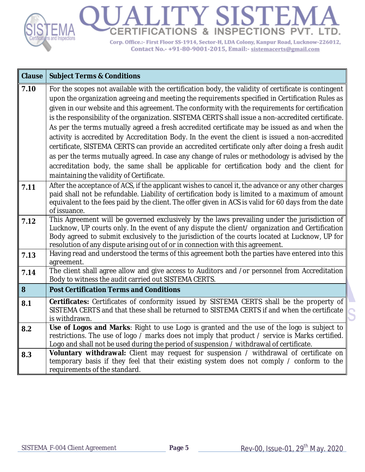

| <b>Clause</b> | <b>Subject Terms &amp; Conditions</b>                                                                                                                                                                                                                                                                                                                                                                                                                                                                                                                                                                                                                                                                                                                                                                                                                                                                                                                               |
|---------------|---------------------------------------------------------------------------------------------------------------------------------------------------------------------------------------------------------------------------------------------------------------------------------------------------------------------------------------------------------------------------------------------------------------------------------------------------------------------------------------------------------------------------------------------------------------------------------------------------------------------------------------------------------------------------------------------------------------------------------------------------------------------------------------------------------------------------------------------------------------------------------------------------------------------------------------------------------------------|
| 7.10          | For the scopes not available with the certification body, the validity of certificate is contingent<br>upon the organization agreeing and meeting the requirements specified in Certification Rules as<br>given in our website and this agreement. The conformity with the requirements for certification<br>is the responsibility of the organization. SISTEMA CERTS shall issue a non-accredited certificate.<br>As per the terms mutually agreed a fresh accredited certificate may be issued as and when the<br>activity is accredited by Accreditation Body. In the event the client is issued a non-accredited<br>certificate, SISTEMA CERTS can provide an accredited certificate only after doing a fresh audit<br>as per the terms mutually agreed. In case any change of rules or methodology is advised by the<br>accreditation body, the same shall be applicable for certification body and the client for<br>maintaining the validity of Certificate. |
| 7.11          | After the acceptance of ACS, if the applicant wishes to cancel it, the advance or any other charges<br>paid shall not be refundable. Liability of certification body is limited to a maximum of amount<br>equivalent to the fees paid by the client. The offer given in ACS is valid for 60 days from the date<br>of issuance.                                                                                                                                                                                                                                                                                                                                                                                                                                                                                                                                                                                                                                      |
| 7.12          | This Agreement will be governed exclusively by the laws prevailing under the jurisdiction of<br>Lucknow, UP courts only. In the event of any dispute the client/ organization and Certification<br>Body agreed to submit exclusively to the jurisdiction of the courts located at Lucknow, UP for<br>resolution of any dispute arising out of or in connection with this agreement.                                                                                                                                                                                                                                                                                                                                                                                                                                                                                                                                                                                 |
| 7.13          | Having read and understood the terms of this agreement both the parties have entered into this<br>agreement.                                                                                                                                                                                                                                                                                                                                                                                                                                                                                                                                                                                                                                                                                                                                                                                                                                                        |
| 7.14          | The client shall agree allow and give access to Auditors and /or personnel from Accreditation<br>Body to witness the audit carried out SISTEMA CERTS.                                                                                                                                                                                                                                                                                                                                                                                                                                                                                                                                                                                                                                                                                                                                                                                                               |
| 8             | <b>Post Certification Terms and Conditions</b>                                                                                                                                                                                                                                                                                                                                                                                                                                                                                                                                                                                                                                                                                                                                                                                                                                                                                                                      |
| 8.1           | Certificates: Certificates of conformity issued by SISTEMA CERTS shall be the property of<br>SISTEMA CERTS and that these shall be returned to SISTEMA CERTS if and when the certificate<br>is withdrawn.                                                                                                                                                                                                                                                                                                                                                                                                                                                                                                                                                                                                                                                                                                                                                           |
| 8.2           | Use of Logos and Marks: Right to use Logo is granted and the use of the logo is subject to<br>restrictions. The use of logo / marks does not imply that product / service is Marks certified.<br>Logo and shall not be used during the period of suspension / withdrawal of certificate.                                                                                                                                                                                                                                                                                                                                                                                                                                                                                                                                                                                                                                                                            |
| 8.3           | <b>Voluntary withdrawal:</b> Client may request for suspension / withdrawal of certificate on<br>temporary basis if they feel that their existing system does not comply / conform to the<br>requirements of the standard.                                                                                                                                                                                                                                                                                                                                                                                                                                                                                                                                                                                                                                                                                                                                          |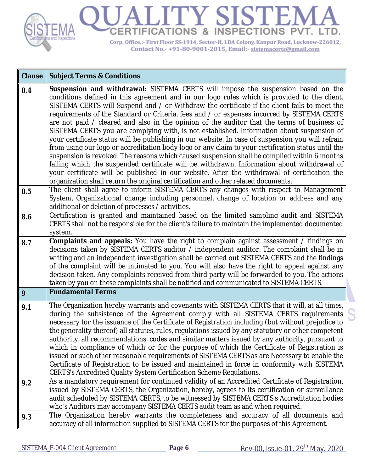

| <b>Clause</b> | <b>Subject Terms &amp; Conditions</b>                                                                                                                                                                                                                                                                                                                                                                                                                                                                                                                                                                                                                                                                                                                                                                                                                                                                                                                                                                                                                                                                                                                                   |
|---------------|-------------------------------------------------------------------------------------------------------------------------------------------------------------------------------------------------------------------------------------------------------------------------------------------------------------------------------------------------------------------------------------------------------------------------------------------------------------------------------------------------------------------------------------------------------------------------------------------------------------------------------------------------------------------------------------------------------------------------------------------------------------------------------------------------------------------------------------------------------------------------------------------------------------------------------------------------------------------------------------------------------------------------------------------------------------------------------------------------------------------------------------------------------------------------|
| 8.4           | Suspension and withdrawal: SISTEMA CERTS will impose the suspension based on the<br>conditions defined in this agreement and in our logo rules which is provided to the client.<br>SISTEMA CERTS will Suspend and / or Withdraw the certificate if the client fails to meet the<br>requirements of the Standard or Criteria, fees and / or expenses incurred by SISTEMA CERTS<br>are not paid / cleared and also in the opinion of the auditor that the terms of business of<br>SISTEMA CERTS you are complying with, is not established. Information about suspension of<br>your certificate status will be publishing in our website. In case of suspension you will refrain<br>from using our logo or accreditation body logo or any claim to your certification status until the<br>suspension is revoked. The reasons which caused suspension shall be complied within 6 months<br>failing which the suspended certificate will be withdrawn. Information about withdrawal of<br>your certificate will be published in our website. After the withdrawal of certification the<br>organization shall return the original certification and other related documents. |
| 8.5           | The client shall agree to inform SISTEMA CERTS any changes with respect to Management<br>System, Organizational change including personnel, change of location or address and any<br>additional or deletion of processes / activities.                                                                                                                                                                                                                                                                                                                                                                                                                                                                                                                                                                                                                                                                                                                                                                                                                                                                                                                                  |
| 8.6           | Certification is granted and maintained based on the limited sampling audit and SISTEMA<br>CERTS shall not be responsible for the client's failure to maintain the implemented documented<br>system.                                                                                                                                                                                                                                                                                                                                                                                                                                                                                                                                                                                                                                                                                                                                                                                                                                                                                                                                                                    |
| 8.7           | <b>Complaints and appeals:</b> You have the right to complain against assessment / findings on<br>decisions taken by SISTEMA CERTS auditor / independent auditor. The complaint shall be in<br>writing and an independent investigation shall be carried out SISTEMA CERTS and the findings<br>of the complaint will be intimated to you. You will also have the right to appeal against any<br>decision taken. Any complaints received from third party will be forwarded to you. The actions<br>taken by you on these complaints shall be notified and communicated to SISTEMA CERTS.                                                                                                                                                                                                                                                                                                                                                                                                                                                                                                                                                                                 |
| 9             | <b>Fundamental Terms</b>                                                                                                                                                                                                                                                                                                                                                                                                                                                                                                                                                                                                                                                                                                                                                                                                                                                                                                                                                                                                                                                                                                                                                |
| 9.1           | The Organization hereby warrants and covenants with SISTEMA CERTS that it will, at all times,<br>during the subsistence of the Agreement comply with all SISTEMA CERTS requirements<br>necessary for the issuance of the Certificate of Registration including (but without prejudice to<br>the generality thereof) all statutes, rules, regulations issued by any statutory or other competent<br>authority, all recommendations, codes and similar matters issued by any authority, pursuant to<br>which in compliance of which or for the purpose of which the Certificate of Registration is<br>issued or such other reasonable requirements of SISTEMA CERTS as are Necessary to enable the<br>Certificate of Registration to be issued and maintained in force in conformity with SISTEMA<br>CERTS's Accredited Quality System Certification Scheme Regulations.                                                                                                                                                                                                                                                                                                  |
| 9.2           | As a mandatory requirement for continued validity of an Accredited Certificate of Registration,<br>issued by SISTEMA CERTS, the Organization, hereby, agrees to its certification or surveillance<br>audit scheduled by SISTEMA CERTS, to be witnessed by SISTEMA CERTS's Accreditation bodies<br>who's Auditors may accompany SISTEMA CERTS audit team as and when required.                                                                                                                                                                                                                                                                                                                                                                                                                                                                                                                                                                                                                                                                                                                                                                                           |
| 9.3           | The Organization hereby warrants the completeness and accuracy of all documents and<br>accuracy of all information supplied to SISTEMA CERTS for the purposes of this Agreement.                                                                                                                                                                                                                                                                                                                                                                                                                                                                                                                                                                                                                                                                                                                                                                                                                                                                                                                                                                                        |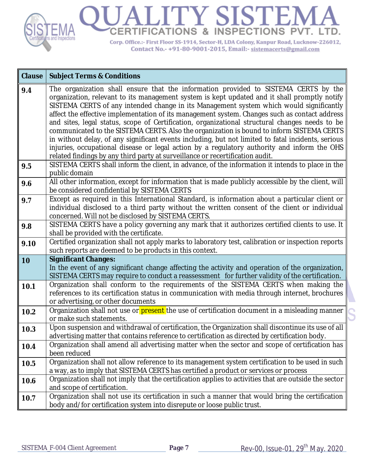

| <b>Clause</b> | <b>Subject Terms &amp; Conditions</b>                                                                                                                                                                                                                                                                                                                                                                                                                                                                                                                                                                                                                                                                                                                                                                                                                                |
|---------------|----------------------------------------------------------------------------------------------------------------------------------------------------------------------------------------------------------------------------------------------------------------------------------------------------------------------------------------------------------------------------------------------------------------------------------------------------------------------------------------------------------------------------------------------------------------------------------------------------------------------------------------------------------------------------------------------------------------------------------------------------------------------------------------------------------------------------------------------------------------------|
| 9.4           | The organization shall ensure that the information provided to SISTEMA CERTS by the<br>organization, relevant to its management system is kept updated and it shall promptly notify<br>SISTEMA CERTS of any intended change in its Management system which would significantly<br>affect the effective implementation of its management system. Changes such as contact address<br>and sites, legal status, scope of Certification, organizational structural changes needs to be<br>communicated to the SISTEMA CERTS. Also the organization is bound to inform SISTEMA CERTS<br>in without delay, of any significant events including, but not limited to fatal incidents, serious<br>injuries, occupational disease or legal action by a regulatory authority and inform the OHS<br>related findings by any third party at surveillance or recertification audit. |
| 9.5           | SISTEMA CERTS shall inform the client, in advance, of the information it intends to place in the<br>public domain                                                                                                                                                                                                                                                                                                                                                                                                                                                                                                                                                                                                                                                                                                                                                    |
| 9.6           | All other information, except for information that is made publicly accessible by the client, will<br>be considered confidential by SISTEMA CERTS                                                                                                                                                                                                                                                                                                                                                                                                                                                                                                                                                                                                                                                                                                                    |
| 9.7           | Except as required in this International Standard, is information about a particular client or<br>individual disclosed to a third party without the written consent of the client or individual<br>concerned. Will not be disclosed by SISTEMA CERTS.                                                                                                                                                                                                                                                                                                                                                                                                                                                                                                                                                                                                                |
| 9.8           | SISTEMA CERTS have a policy governing any mark that it authorizes certified clients to use. It<br>shall be provided with the certificate.                                                                                                                                                                                                                                                                                                                                                                                                                                                                                                                                                                                                                                                                                                                            |
| 9.10          | Certified organization shall not apply marks to laboratory test, calibration or inspection reports<br>such reports are deemed to be products in this context.                                                                                                                                                                                                                                                                                                                                                                                                                                                                                                                                                                                                                                                                                                        |
| 10            | <b>Significant Changes:</b><br>In the event of any significant change affecting the activity and operation of the organization,<br>SISTEMA CERTS may require to conduct a reassessment for further validity of the certification.                                                                                                                                                                                                                                                                                                                                                                                                                                                                                                                                                                                                                                    |
| 10.1          | Organization shall conform to the requirements of the SISTEMA CERTS when making the<br>references to its certification status in communication with media through internet, brochures<br>or advertising, or other documents                                                                                                                                                                                                                                                                                                                                                                                                                                                                                                                                                                                                                                          |
| 10.2          | Organization shall not use or present the use of certification document in a misleading manner<br>or make such statements.                                                                                                                                                                                                                                                                                                                                                                                                                                                                                                                                                                                                                                                                                                                                           |
| 10.3          | Upon suspension and withdrawal of certification, the Organization shall discontinue its use of all<br>advertising matter that contains reference to certification as directed by certification body.                                                                                                                                                                                                                                                                                                                                                                                                                                                                                                                                                                                                                                                                 |
| 10.4          | Organization shall amend all advertising matter when the sector and scope of certification has<br>been reduced                                                                                                                                                                                                                                                                                                                                                                                                                                                                                                                                                                                                                                                                                                                                                       |
| 10.5          | Organization shall not allow reference to its management system certification to be used in such<br>a way, as to imply that SISTEMA CERTS has certified a product or services or process                                                                                                                                                                                                                                                                                                                                                                                                                                                                                                                                                                                                                                                                             |
| 10.6          | Organization shall not imply that the certification applies to activities that are outside the sector<br>and scope of certification.                                                                                                                                                                                                                                                                                                                                                                                                                                                                                                                                                                                                                                                                                                                                 |
| 10.7          | Organization shall not use its certification in such a manner that would bring the certification<br>body and/for certification system into disrepute or loose public trust.                                                                                                                                                                                                                                                                                                                                                                                                                                                                                                                                                                                                                                                                                          |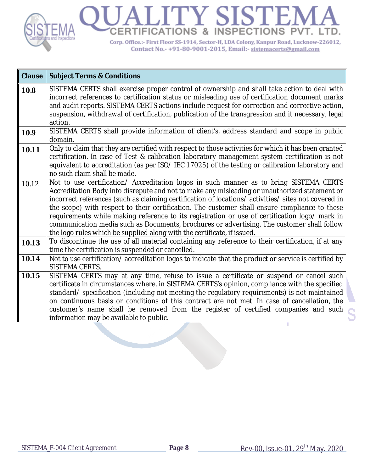

| <b>Clause</b> | <b>Subject Terms &amp; Conditions</b>                                                                                                                                                                                                                                                                                                                                                                                                                                                                                                                                                                                                                                     |
|---------------|---------------------------------------------------------------------------------------------------------------------------------------------------------------------------------------------------------------------------------------------------------------------------------------------------------------------------------------------------------------------------------------------------------------------------------------------------------------------------------------------------------------------------------------------------------------------------------------------------------------------------------------------------------------------------|
| 10.8          | SISTEMA CERTS shall exercise proper control of ownership and shall take action to deal with<br>incorrect references to certification status or misleading use of certification document marks<br>and audit reports. SISTEMA CERTS actions include request for correction and corrective action,<br>suspension, withdrawal of certification, publication of the transgression and it necessary, legal<br>action.                                                                                                                                                                                                                                                           |
| 10.9          | SISTEMA CERTS shall provide information of client's, address standard and scope in public<br>domain.                                                                                                                                                                                                                                                                                                                                                                                                                                                                                                                                                                      |
| 10.11         | Only to claim that they are certified with respect to those activities for which it has been granted<br>certification. In case of Test & calibration laboratory management system certification is not<br>equivalent to accreditation (as per ISO/ IEC 17025) of the testing or calibration laboratory and<br>no such claim shall be made.                                                                                                                                                                                                                                                                                                                                |
| 10.12         | Not to use certification/ Accreditation logos in such manner as to bring SISTEMA CERTS<br>Accreditation Body into disrepute and not to make any misleading or unauthorized statement or<br>incorrect references (such as claiming certification of locations/ activities/ sites not covered in<br>the scope) with respect to their certification. The customer shall ensure compliance to these<br>requirements while making reference to its registration or use of certification logo/ mark in<br>communication media such as Documents, brochures or advertising. The customer shall follow<br>the logo rules which be supplied along with the certificate, if issued. |
| 10.13         | To discontinue the use of all material containing any reference to their certification, if at any<br>time the certification is suspended or cancelled.                                                                                                                                                                                                                                                                                                                                                                                                                                                                                                                    |
| 10.14         | Not to use certification/accreditation logos to indicate that the product or service is certified by<br><b>SISTEMA CERTS.</b>                                                                                                                                                                                                                                                                                                                                                                                                                                                                                                                                             |
| 10.15         | SISTEMA CERTS may at any time, refuse to issue a certificate or suspend or cancel such<br>certificate in circumstances where, in SISTEMA CERTS's opinion, compliance with the specified<br>standard/specification (including not meeting the regulatory requirements) is not maintained<br>on continuous basis or conditions of this contract are not met. In case of cancellation, the<br>customer's name shall be removed from the register of certified companies and such<br>information may be available to public.                                                                                                                                                  |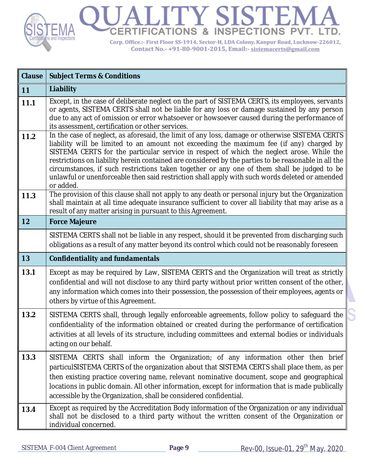

| <b>Clause</b> | <b>Subject Terms &amp; Conditions</b>                                                                                                                                                                                                                                                                                                                                                                                                                                                                                                                                                                         |
|---------------|---------------------------------------------------------------------------------------------------------------------------------------------------------------------------------------------------------------------------------------------------------------------------------------------------------------------------------------------------------------------------------------------------------------------------------------------------------------------------------------------------------------------------------------------------------------------------------------------------------------|
| 11            | Liability                                                                                                                                                                                                                                                                                                                                                                                                                                                                                                                                                                                                     |
| 11.1          | Except, in the case of deliberate neglect on the part of SISTEMA CERTS, its employees, servants<br>or agents, SISTEMA CERTS shall not be liable for any loss or damage sustained by any person<br>due to any act of omission or error whatsoever or howsoever caused during the performance of<br>its assessment, certification or other services.                                                                                                                                                                                                                                                            |
| 11.2          | In the case of neglect, as aforesaid, the limit of any loss, damage or otherwise SISTEMA CERTS<br>liability will be limited to an amount not exceeding the maximum fee (if any) charged by<br>SISTEMA CERTS for the particular service in respect of which the neglect arose. While the<br>restrictions on liability herein contained are considered by the parties to be reasonable in all the<br>circumstances, if such restrictions taken together or any one of them shall be judged to be<br>unlawful or unenforceable then said restriction shall apply with such words deleted or amended<br>or added. |
| 11.3          | The provision of this clause shall not apply to any death or personal injury but the Organization<br>shall maintain at all time adequate insurance sufficient to cover all liability that may arise as a<br>result of any matter arising in pursuant to this Agreement.                                                                                                                                                                                                                                                                                                                                       |
| 12            | <b>Force Majeure</b>                                                                                                                                                                                                                                                                                                                                                                                                                                                                                                                                                                                          |
|               | SISTEMA CERTS shall not be liable in any respect, should it be prevented from discharging such<br>obligations as a result of any matter beyond its control which could not be reasonably foreseen                                                                                                                                                                                                                                                                                                                                                                                                             |
|               |                                                                                                                                                                                                                                                                                                                                                                                                                                                                                                                                                                                                               |
| 13            | <b>Confidentiality and fundamentals</b>                                                                                                                                                                                                                                                                                                                                                                                                                                                                                                                                                                       |
| 13.1          | Except as may be required by Law, SISTEMA CERTS and the Organization will treat as strictly<br>confidential and will not disclose to any third party without prior written consent of the other,<br>any information which comes into their possession, the possession of their employees, agents or<br>others by virtue of this Agreement.                                                                                                                                                                                                                                                                    |
| 13.2          | SISTEMA CERTS shall, through legally enforceable agreements, follow policy to safeguard the<br>confidentiality of the information obtained or created during the performance of certification<br>activities at all levels of its structure, including committees and external bodies or individuals<br>acting on our behalf.                                                                                                                                                                                                                                                                                  |
| 13.3          | SISTEMA CERTS shall inform the Organization; of any information other then brief<br>particulSISTEMA CERTS of the organization about that SISTEMA CERTS shall place them, as per<br>then existing practice covering name, relevant nominative document, scope and geographical<br>locations in public domain. All other information, except for information that is made publically<br>accessible by the Organization, shall be considered confidential.                                                                                                                                                       |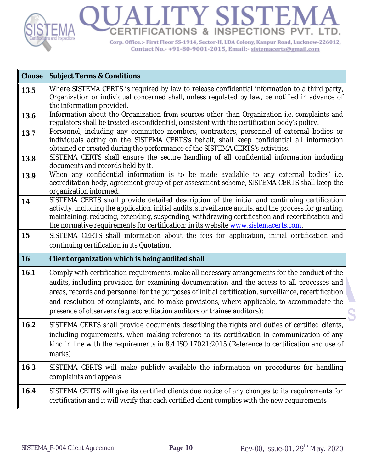

| <b>Clause</b> | <b>Subject Terms &amp; Conditions</b>                                                                                                                                                                                                                                                                                                                                                                                                                                            |
|---------------|----------------------------------------------------------------------------------------------------------------------------------------------------------------------------------------------------------------------------------------------------------------------------------------------------------------------------------------------------------------------------------------------------------------------------------------------------------------------------------|
| 13.5          | Where SISTEMA CERTS is required by law to release confidential information to a third party,<br>Organization or individual concerned shall, unless regulated by law, be notified in advance of<br>the information provided.                                                                                                                                                                                                                                                      |
| 13.6          | Information about the Organization from sources other than Organization i.e. complaints and<br>regulators shall be treated as confidential, consistent with the certification body's policy.                                                                                                                                                                                                                                                                                     |
| 13.7          | Personnel, including any committee members, contractors, personnel of external bodies or<br>individuals acting on the SISTEMA CERTS's behalf, shall keep confidential all information<br>obtained or created during the performance of the SISTEMA CERTS's activities.                                                                                                                                                                                                           |
| 13.8          | SISTEMA CERTS shall ensure the secure handling of all confidential information including<br>documents and records held by it.                                                                                                                                                                                                                                                                                                                                                    |
| 13.9          | When any confidential information is to be made available to any external bodies' i.e.<br>accreditation body, agreement group of per assessment scheme, SISTEMA CERTS shall keep the<br>organization informed.                                                                                                                                                                                                                                                                   |
| 14            | SISTEMA CERTS shall provide detailed description of the initial and continuing certification<br>activity, including the application, initial audits, surveillance audits, and the process for granting,<br>maintaining, reducing, extending, suspending, withdrawing certification and recertification and<br>the normative requirements for certification; in its website www.sistemacerts.com.                                                                                 |
| 15            | SISTEMA CERTS shall information about the fees for application, initial certification and<br>continuing certification in its Quotation.                                                                                                                                                                                                                                                                                                                                          |
| 16            | Client organization which is being audited shall                                                                                                                                                                                                                                                                                                                                                                                                                                 |
| 16.1          | Comply with certification requirements, make all necessary arrangements for the conduct of the<br>audits, including provision for examining documentation and the access to all processes and<br>areas, records and personnel for the purposes of initial certification, surveillance, recertification<br>and resolution of complaints, and to make provisions, where applicable, to accommodate the<br>presence of observers (e.g. accreditation auditors or trainee auditors); |
| 16.2          | SISTEMA CERTS shall provide documents describing the rights and duties of certified clients,<br>including requirements, when making reference to its certification in communication of any<br>kind in line with the requirements in 8.4 ISO 17021:2015 (Reference to certification and use of<br>marks)                                                                                                                                                                          |
| 16.3          | SISTEMA CERTS will make publicly available the information on procedures for handling<br>complaints and appeals.                                                                                                                                                                                                                                                                                                                                                                 |
| 16.4          | SISTEMA CERTS will give its certified clients due notice of any changes to its requirements for<br>certification and it will verify that each certified client complies with the new requirements                                                                                                                                                                                                                                                                                |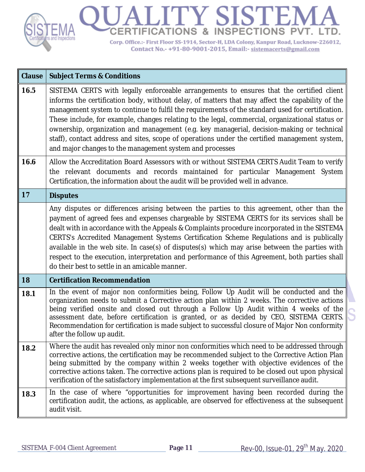

| <b>Clause</b> | <b>Subject Terms &amp; Conditions</b>                                                                                                                                                                                                                                                                                                                                                                                                                                                                                                                                                                                                                        |
|---------------|--------------------------------------------------------------------------------------------------------------------------------------------------------------------------------------------------------------------------------------------------------------------------------------------------------------------------------------------------------------------------------------------------------------------------------------------------------------------------------------------------------------------------------------------------------------------------------------------------------------------------------------------------------------|
| 16.5          | SISTEMA CERTS with legally enforceable arrangements to ensures that the certified client<br>informs the certification body, without delay, of matters that may affect the capability of the<br>management system to continue to fulfil the requirements of the standard used for certification.<br>These include, for example, changes relating to the legal, commercial, organizational status or<br>ownership, organization and management (e.g. key managerial, decision-making or technical<br>staff), contact address and sites, scope of operations under the certified management system,<br>and major changes to the management system and processes |
| 16.6          | Allow the Accreditation Board Assessors with or without SISTEMA CERTS Audit Team to verify<br>the relevant documents and records maintained for particular Management System<br>Certification, the information about the audit will be provided well in advance.                                                                                                                                                                                                                                                                                                                                                                                             |
| 17            | <b>Disputes</b>                                                                                                                                                                                                                                                                                                                                                                                                                                                                                                                                                                                                                                              |
|               | Any disputes or differences arising between the parties to this agreement, other than the<br>payment of agreed fees and expenses chargeable by SISTEMA CERTS for its services shall be<br>dealt with in accordance with the Appeals & Complaints procedure incorporated in the SISTEMA<br>CERTS's Accredited Management Systems Certification Scheme Regulations and is publically<br>available in the web site. In case(s) of disputes(s) which may arise between the parties with<br>respect to the execution, interpretation and performance of this Agreement, both parties shall<br>do their best to settle in an amicable manner.                      |
| 18            | <b>Certification Recommendation</b>                                                                                                                                                                                                                                                                                                                                                                                                                                                                                                                                                                                                                          |
| 18.1          | In the event of major non conformities being, Follow Up Audit will be conducted and the<br>organization needs to submit a Corrective action plan within 2 weeks. The corrective actions<br>being verified onsite and closed out through a Follow Up Audit within 4 weeks of the<br>assessment date, before certification is granted, or as decided by CEO, SISTEMA CERTS.<br>Recommendation for certification is made subject to successful closure of Major Non conformity<br>after the follow up audit.                                                                                                                                                    |
| 18.2          | Where the audit has revealed only minor non conformities which need to be addressed through<br>corrective actions, the certification may be recommended subject to the Corrective Action Plan<br>being submitted by the company within 2 weeks together with objective evidences of the<br>corrective actions taken. The corrective actions plan is required to be closed out upon physical<br>verification of the satisfactory implementation at the first subsequent surveillance audit.                                                                                                                                                                   |
| 18.3          | In the case of where "opportunities for improvement having been recorded during the<br>certification audit, the actions, as applicable, are observed for effectiveness at the subsequent<br>audit visit.                                                                                                                                                                                                                                                                                                                                                                                                                                                     |